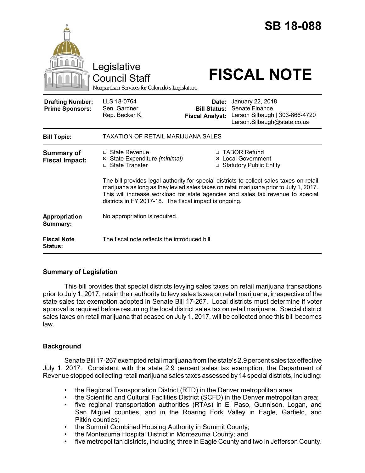|                                                   | Legislative<br><b>Council Staff</b><br>Nonpartisan Services for Colorado's Legislature                                                                                                                                                                                                                                           |                                 | <b>SB 18-088</b><br><b>FISCAL NOTE</b>                                                                                  |
|---------------------------------------------------|----------------------------------------------------------------------------------------------------------------------------------------------------------------------------------------------------------------------------------------------------------------------------------------------------------------------------------|---------------------------------|-------------------------------------------------------------------------------------------------------------------------|
| <b>Drafting Number:</b><br><b>Prime Sponsors:</b> | LLS 18-0764<br>Sen. Gardner<br>Rep. Becker K.                                                                                                                                                                                                                                                                                    | Date:<br><b>Fiscal Analyst:</b> | January 22, 2018<br><b>Bill Status: Senate Finance</b><br>Larson Silbaugh   303-866-4720<br>Larson.Silbaugh@state.co.us |
| <b>Bill Topic:</b>                                | TAXATION OF RETAIL MARIJUANA SALES                                                                                                                                                                                                                                                                                               |                                 |                                                                                                                         |
| <b>Summary of</b><br><b>Fiscal Impact:</b>        | $\Box$ State Revenue<br>⊠ State Expenditure (minimal)<br>□ State Transfer                                                                                                                                                                                                                                                        |                                 | □ TABOR Refund<br><b>⊠</b> Local Government<br>□ Statutory Public Entity                                                |
|                                                   | The bill provides legal authority for special districts to collect sales taxes on retail<br>marijuana as long as they levied sales taxes on retail marijuana prior to July 1, 2017.<br>This will increase workload for state agencies and sales tax revenue to special<br>districts in FY 2017-18. The fiscal impact is ongoing. |                                 |                                                                                                                         |
| Appropriation<br>Summary:                         | No appropriation is required.                                                                                                                                                                                                                                                                                                    |                                 |                                                                                                                         |
| <b>Fiscal Note</b><br><b>Status:</b>              | The fiscal note reflects the introduced bill.                                                                                                                                                                                                                                                                                    |                                 |                                                                                                                         |

# **Summary of Legislation**

This bill provides that special districts levying sales taxes on retail marijuana transactions prior to July 1, 2017, retain their authority to levy sales taxes on retail marijuana, irrespective of the state sales tax exemption adopted in Senate Bill 17-267. Local districts must determine if voter approval is required before resuming the local district sales tax on retail marijuana. Special district sales taxes on retail marijuana that ceased on July 1, 2017, will be collected once this bill becomes law.

# **Background**

Senate Bill 17-267 exempted retail marijuana from the state's 2.9 percent sales tax effective July 1, 2017. Consistent with the state 2.9 percent sales tax exemption, the Department of Revenue stopped collecting retail marijuana sales taxes assessed by 14 special districts, including:

- the Regional Transportation District (RTD) in the Denver metropolitan area;
- the Scientific and Cultural Facilities District (SCFD) in the Denver metropolitan area;
- five regional transportation authorities (RTAs) in El Paso, Gunnison, Logan, and San Miguel counties, and in the Roaring Fork Valley in Eagle, Garfield, and Pitkin counties;
- the Summit Combined Housing Authority in Summit County;
- the Montezuma Hospital District in Montezuma County; and
- five metropolitan districts, including three in Eagle County and two in Jefferson County.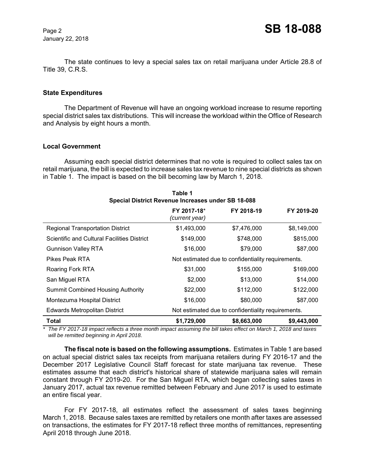January 22, 2018

The state continues to levy a special sales tax on retail marijuana under Article 28.8 of Title 39, C.R.S.

#### **State Expenditures**

The Department of Revenue will have an ongoing workload increase to resume reporting special district sales tax distributions. This will increase the workload within the Office of Research and Analysis by eight hours a month.

### **Local Government**

Assuming each special district determines that no vote is required to collect sales tax on retail marijuana, the bill is expected to increase sales tax revenue to nine special districts as shown in Table 1. The impact is based on the bill becoming law by March 1, 2018.

**Table 1** 

| i abie 1<br>Special District Revenue Increases under SB 18-088 |                               |                                                    |             |  |
|----------------------------------------------------------------|-------------------------------|----------------------------------------------------|-------------|--|
|                                                                | FY 2017-18*<br>(current year) | FY 2018-19                                         | FY 2019-20  |  |
| <b>Regional Transportation District</b>                        | \$1,493,000                   | \$7,476,000                                        | \$8,149,000 |  |
| Scientific and Cultural Facilities District                    | \$149,000                     | \$748,000                                          | \$815,000   |  |
| <b>Gunnison Valley RTA</b>                                     | \$16,000                      | \$79,000                                           | \$87,000    |  |
| Pikes Peak RTA                                                 |                               | Not estimated due to confidentiality requirements. |             |  |
| Roaring Fork RTA                                               | \$31,000                      | \$155,000                                          | \$169,000   |  |
| San Miguel RTA                                                 | \$2,000                       | \$13,000                                           | \$14,000    |  |
| <b>Summit Combined Housing Authority</b>                       | \$22,000                      | \$112,000                                          | \$122,000   |  |
| Montezuma Hospital District                                    | \$16,000                      | \$80,000                                           | \$87,000    |  |
| <b>Edwards Metropolitan District</b>                           |                               | Not estimated due to confidentiality requirements. |             |  |
| Total                                                          | \$1,729,000                   | \$8,663,000                                        | \$9,443,000 |  |

*\* The FY 2017-18 impact reflects a three month impact assuming the bill takes effect on March 1, 2018 and taxes will be remitted beginning in April 2018.*

**The fiscal note is based on the following assumptions.** Estimates in Table 1 are based on actual special district sales tax receipts from marijuana retailers during FY 2016-17 and the December 2017 Legislative Council Staff forecast for state marijuana tax revenue. These estimates assume that each district's historical share of statewide marijuana sales will remain constant through FY 2019-20. For the San Miguel RTA, which began collecting sales taxes in January 2017, actual tax revenue remitted between February and June 2017 is used to estimate an entire fiscal year.

For FY 2017-18, all estimates reflect the assessment of sales taxes beginning March 1, 2018. Because sales taxes are remitted by retailers one month after taxes are assessed on transactions, the estimates for FY 2017-18 reflect three months of remittances, representing April 2018 through June 2018.